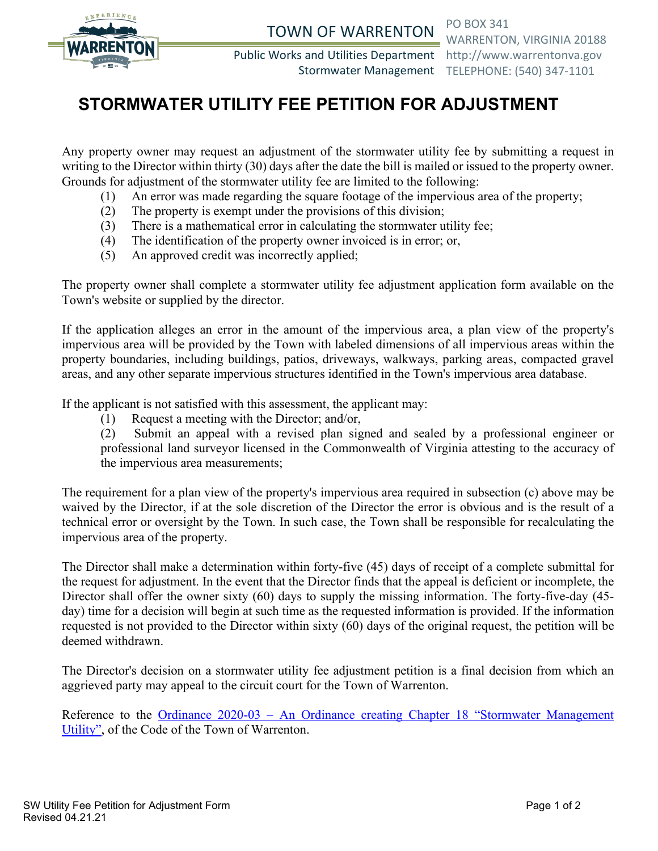

TOWN OF WARRENTON PO BOX 341

Public Works and Utilities Department http://www.warrentonva.gov

WARRENTON, VIRGINIA 20188 Stormwater Management TELEPHONE: (540) 347-1101

# **STORMWATER UTILITY FEE PETITION FOR ADJUSTMENT**

Any property owner may request an adjustment of the stormwater utility fee by submitting a request in writing to the Director within thirty (30) days after the date the bill is mailed or issued to the property owner. Grounds for adjustment of the stormwater utility fee are limited to the following:

- (1) An error was made regarding the square footage of the impervious area of the property;
- (2) The property is exempt under the provisions of this division;
- (3) There is a mathematical error in calculating the stormwater utility fee;
- (4) The identification of the property owner invoiced is in error; or,
- (5) An approved credit was incorrectly applied;

The property owner shall complete a stormwater utility fee adjustment application form available on the Town's website or supplied by the director.

If the application alleges an error in the amount of the impervious area, a plan view of the property's impervious area will be provided by the Town with labeled dimensions of all impervious areas within the property boundaries, including buildings, patios, driveways, walkways, parking areas, compacted gravel areas, and any other separate impervious structures identified in the Town's impervious area database.

If the applicant is not satisfied with this assessment, the applicant may:

(1) Request a meeting with the Director; and/or,

(2) Submit an appeal with a revised plan signed and sealed by a professional engineer or professional land surveyor licensed in the Commonwealth of Virginia attesting to the accuracy of the impervious area measurements;

The requirement for a plan view of the property's impervious area required in subsection (c) above may be waived by the Director, if at the sole discretion of the Director the error is obvious and is the result of a technical error or oversight by the Town. In such case, the Town shall be responsible for recalculating the impervious area of the property.

The Director shall make a determination within forty-five (45) days of receipt of a complete submittal for the request for adjustment. In the event that the Director finds that the appeal is deficient or incomplete, the Director shall offer the owner sixty (60) days to supply the missing information. The forty-five-day (45 day) time for a decision will begin at such time as the requested information is provided. If the information requested is not provided to the Director within sixty (60) days of the original request, the petition will be deemed withdrawn.

The Director's decision on a stormwater utility fee adjustment petition is a final decision from which an aggrieved party may appeal to the circuit court for the Town of Warrenton.

Reference to the Ordinance 2020-03 – [An Ordinance creating Chapter 18 "Stormwater Management](https://library.municode.com/va/warrenton/ordinances/code_of_ordinances?nodeId=1028617)  [Utility",](https://library.municode.com/va/warrenton/ordinances/code_of_ordinances?nodeId=1028617) of the Code of the Town of Warrenton.